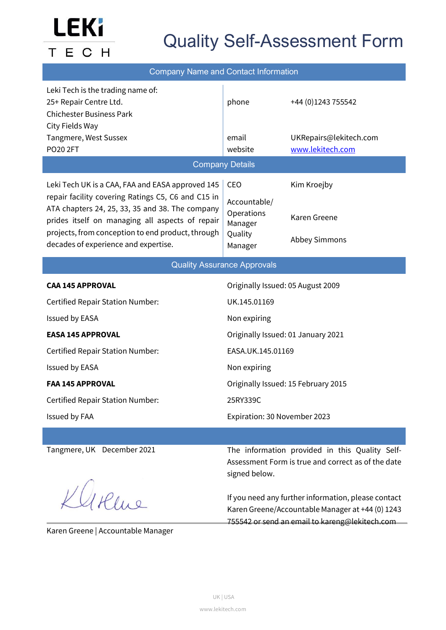

## Quality Self-Assessment Form

| <b>Company Name and Contact Information</b>                                                                                                                                                                   |                                                                                                                       |                                                                                                                                                           |  |  |  |
|---------------------------------------------------------------------------------------------------------------------------------------------------------------------------------------------------------------|-----------------------------------------------------------------------------------------------------------------------|-----------------------------------------------------------------------------------------------------------------------------------------------------------|--|--|--|
| Leki Tech is the trading name of:<br>25+ Repair Centre Ltd.<br><b>Chichester Business Park</b>                                                                                                                | phone                                                                                                                 | +44 (0) 1243 755542                                                                                                                                       |  |  |  |
| City Fields Way<br>Tangmere, West Sussex                                                                                                                                                                      | email                                                                                                                 | UKRepairs@lekitech.com                                                                                                                                    |  |  |  |
| <b>PO20 2FT</b>                                                                                                                                                                                               | website                                                                                                               | www.lekitech.com                                                                                                                                          |  |  |  |
|                                                                                                                                                                                                               | <b>Company Details</b>                                                                                                |                                                                                                                                                           |  |  |  |
| Leki Tech UK is a CAA, FAA and EASA approved 145                                                                                                                                                              | CEO                                                                                                                   | Kim Kroejby                                                                                                                                               |  |  |  |
| repair facility covering Ratings C5, C6 and C15 in<br>ATA chapters 24, 25, 33, 35 and 38. The company<br>prides itself on managing all aspects of repair<br>projects, from conception to end product, through | Accountable/<br>Operations<br>Manager<br>Quality                                                                      | Karen Greene                                                                                                                                              |  |  |  |
| decades of experience and expertise.                                                                                                                                                                          | Manager                                                                                                               | <b>Abbey Simmons</b>                                                                                                                                      |  |  |  |
| <b>Quality Assurance Approvals</b>                                                                                                                                                                            |                                                                                                                       |                                                                                                                                                           |  |  |  |
| <b>CAA 145 APPROVAL</b>                                                                                                                                                                                       | Originally Issued: 05 August 2009                                                                                     |                                                                                                                                                           |  |  |  |
| <b>Certified Repair Station Number:</b>                                                                                                                                                                       | UK.145.01169                                                                                                          |                                                                                                                                                           |  |  |  |
| Issued by EASA                                                                                                                                                                                                | Non expiring                                                                                                          |                                                                                                                                                           |  |  |  |
| <b>EASA 145 APPROVAL</b>                                                                                                                                                                                      | Originally Issued: 01 January 2021                                                                                    |                                                                                                                                                           |  |  |  |
| <b>Certified Repair Station Number:</b>                                                                                                                                                                       | EASA.UK.145.01169                                                                                                     |                                                                                                                                                           |  |  |  |
| Issued by EASA                                                                                                                                                                                                | Non expiring                                                                                                          |                                                                                                                                                           |  |  |  |
| <b>FAA 145 APPROVAL</b>                                                                                                                                                                                       | Originally Issued: 15 February 2015                                                                                   |                                                                                                                                                           |  |  |  |
| <b>Certified Repair Station Number:</b>                                                                                                                                                                       | 25RY339C                                                                                                              |                                                                                                                                                           |  |  |  |
| Issued by FAA                                                                                                                                                                                                 | Expiration: 30 November 2023                                                                                          |                                                                                                                                                           |  |  |  |
|                                                                                                                                                                                                               |                                                                                                                       |                                                                                                                                                           |  |  |  |
| Tangmere, UK December 2021                                                                                                                                                                                    | The information provided in this Quality Self-<br>Assessment Form is true and correct as of the date<br>signed below. |                                                                                                                                                           |  |  |  |
| Klikene                                                                                                                                                                                                       |                                                                                                                       | If you need any further information, please contact<br>Karen Greene/Accountable Manager at +44 (0) 1243<br>755542 or send an email to kareng@lekitech.com |  |  |  |

Karen Greene | Accountable Manager

UK | USA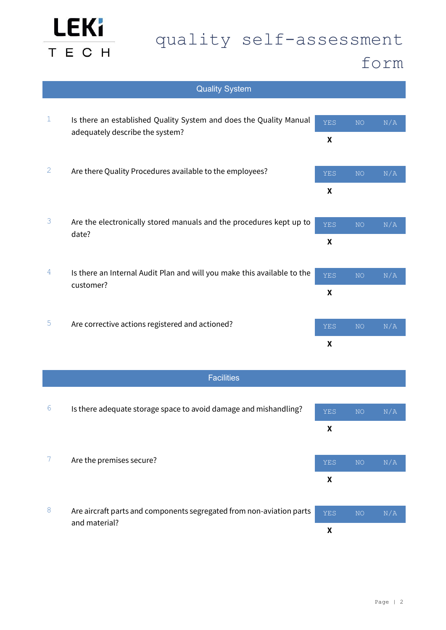

## form

|                | <b>Quality System</b>                                                   |                    |                 |           |
|----------------|-------------------------------------------------------------------------|--------------------|-----------------|-----------|
|                |                                                                         |                    |                 |           |
| $\mathbf{1}$   | Is there an established Quality System and does the Quality Manual      | <b>YES</b>         | NO <sub>1</sub> | $\rm N/A$ |
|                | adequately describe the system?                                         | $\pmb{\mathsf{X}}$ |                 |           |
|                |                                                                         |                    |                 |           |
| $\overline{c}$ | Are there Quality Procedures available to the employees?                | <b>YES</b>         | NO              | N/A       |
|                |                                                                         | X                  |                 |           |
|                |                                                                         |                    |                 |           |
| 3              | Are the electronically stored manuals and the procedures kept up to     | YES                | NO              | N/A       |
|                | date?                                                                   | X                  |                 |           |
|                |                                                                         |                    |                 |           |
| 4              | Is there an Internal Audit Plan and will you make this available to the | YES                | $\rm NO$        | $\rm N/A$ |
|                | customer?                                                               | $\boldsymbol{x}$   |                 |           |
|                |                                                                         |                    |                 |           |
| 5              | Are corrective actions registered and actioned?                         |                    |                 |           |
|                |                                                                         | <b>YES</b>         | NO              | N/A       |
|                |                                                                         | $\pmb{\mathsf{X}}$ |                 |           |
|                |                                                                         |                    |                 |           |
|                | <b>Facilities</b>                                                       |                    |                 |           |
|                |                                                                         |                    |                 |           |
| 6              | Is there adequate storage space to avoid damage and mishandling?        | YES                | NO              | $\rm N/A$ |
|                |                                                                         | $\pmb{\mathsf{X}}$ |                 |           |
|                |                                                                         |                    |                 |           |
| 7              | Are the premises secure?                                                | <b>YES</b>         | NO.             | $\rm N/A$ |
|                |                                                                         | $\pmb{\mathsf{X}}$ |                 |           |
|                |                                                                         |                    |                 |           |
| $\,8\,$        | Are aircraft parts and components segregated from non-aviation parts    | YES                | $\rm NO$        | $\rm N/A$ |
|                | and material?                                                           | X                  |                 |           |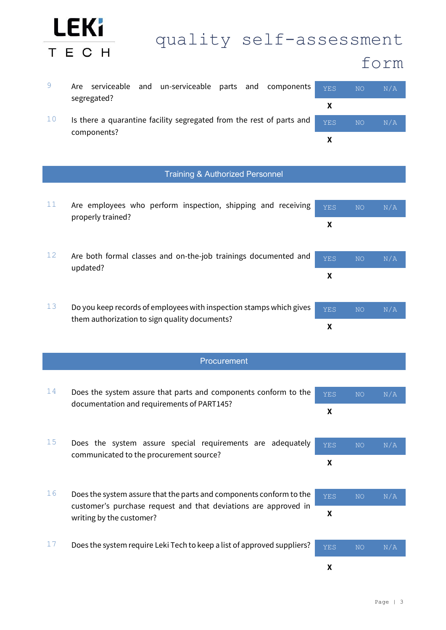

#### form

|  |             | Are serviceable and un-serviceable parts and components $_{\text{YES}}$ |  |  | $\overline{M}$ | N/A |
|--|-------------|-------------------------------------------------------------------------|--|--|----------------|-----|
|  | segregated? |                                                                         |  |  |                |     |

 $10$  Is there a quarantine facility segregated from the rest of parts and components?

#### Training & Authorized Personnel

- $11$  Are employees who perform inspection, shipping and receiving properly trained? **X**
- 12 Are both formal classes and on-the-job trainings documented and updated?
- 13 Do you keep records of employees with inspection stamps which gives them authorization to sign quality documents?
	- **Procurement**
- $14$  Does the system assure that parts and components conform to the documentation and requirements of PART145?
- $15$  Does the system assure special requirements are adequately communicated to the procurement source?
- 16 Does the system assure that the parts and components conform to the customer's purchase request and that deviations are approved in writing by the customer?
- 17 Does the system require Leki Tech to keep a list of approved suppliers?  $\overline{Y_{ES}}$  NO N/A



| YES | NO <sub>1</sub> | N/A |
|-----|-----------------|-----|
| X   |                 |     |
|     |                 |     |



**X**





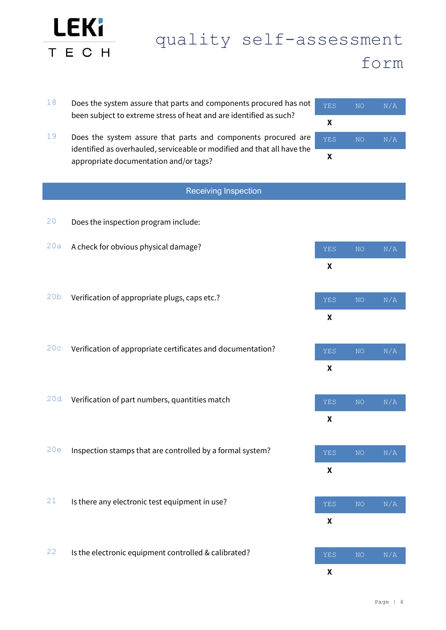

form

- $18$  Does the system assure that parts and components procured has not been subject to extreme stress of heat and are identified as such?
- 19 Does the system assure that parts and components procured are identified as overhauled, serviceable or modified and that all have the appropriate documentation and/or tags?



|                 | <b>Receiving Inspection</b>                                 |                    |                 |               |
|-----------------|-------------------------------------------------------------|--------------------|-----------------|---------------|
| 20              | Does the inspection program include:                        |                    |                 |               |
| 20a             | A check for obvious physical damage?                        | <b>YES</b>         | NO <sub>1</sub> | N/A           |
|                 |                                                             | $\pmb{\chi}$       |                 |               |
| 20 <sub>b</sub> | Verification of appropriate plugs, caps etc.?               | YES                | NO <sub>1</sub> | N/A           |
|                 |                                                             | $\pmb{\mathsf{X}}$ |                 |               |
| 20c             | Verification of appropriate certificates and documentation? | YES                | <b>NO</b>       | $\rm N/A$     |
|                 |                                                             | $\pmb{\chi}$       |                 |               |
| 20d             | Verification of part numbers, quantities match              | YES                | $\rm NO$        | $\rm N/\rm A$ |
|                 |                                                             | $\pmb{\chi}$       |                 |               |
| 20e             | Inspection stamps that are controlled by a formal system?   | YES                | $\rm NO$        | N/A           |
|                 |                                                             | $\pmb{\chi}$       |                 |               |
| 21              | Is there any electronic test equipment in use?              | <b>YES</b>         | NO <sub>1</sub> | N/A           |
|                 |                                                             | $\boldsymbol{x}$   |                 |               |
| 22              | Is the electronic equipment controlled & calibrated?        | YES                | $\rm NO$        | N/A           |

**X**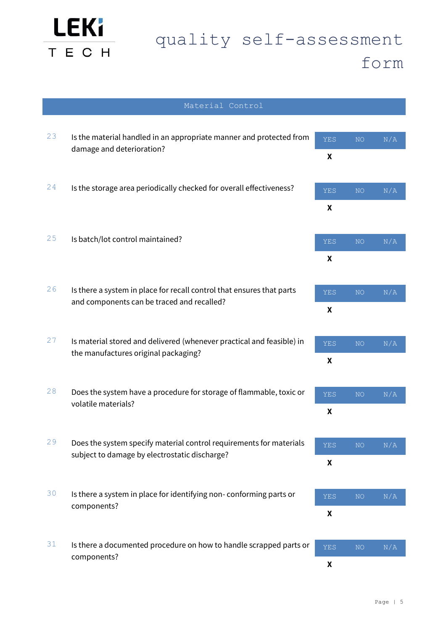

|                                            | Material Control                                                                                                     |                    |                 |     |
|--------------------------------------------|----------------------------------------------------------------------------------------------------------------------|--------------------|-----------------|-----|
| 23                                         | Is the material handled in an appropriate manner and protected from                                                  | <b>YES</b>         | NO <sub>1</sub> | N/A |
|                                            | damage and deterioration?                                                                                            | X                  |                 |     |
| 24                                         | Is the storage area periodically checked for overall effectiveness?                                                  | <b>YES</b>         | NO <sub>1</sub> | N/A |
|                                            |                                                                                                                      | X                  |                 |     |
| 25                                         | Is batch/lot control maintained?                                                                                     | <b>YES</b><br>X    | NO <sub>1</sub> | N/A |
| 26                                         | Is there a system in place for recall control that ensures that parts                                                |                    |                 |     |
| and components can be traced and recalled? | <b>YES</b><br>X                                                                                                      | NO <sub>1</sub>    | N/A             |     |
| 27                                         | Is material stored and delivered (whenever practical and feasible) in                                                | <b>YES</b>         | <b>NO</b>       | N/A |
|                                            | the manufactures original packaging?                                                                                 | X                  |                 |     |
| 28                                         | Does the system have a procedure for storage of flammable, toxic or<br>volatile materials?                           | <b>YES</b>         | NO <sub>1</sub> | N/A |
|                                            |                                                                                                                      | $\pmb{\mathsf{X}}$ |                 |     |
| 29                                         | Does the system specify material control requirements for materials<br>subject to damage by electrostatic discharge? | <b>YES</b>         | NO <sub>1</sub> | N/A |
|                                            |                                                                                                                      | X                  |                 |     |
| 30                                         | Is there a system in place for identifying non-conforming parts or<br>components?                                    |                    | NO <sub>1</sub> | N/A |
|                                            |                                                                                                                      | X                  |                 |     |
| 31                                         | Is there a documented procedure on how to handle scrapped parts or<br>components?                                    | <b>YES</b><br>X    | NO <sub>1</sub> | N/A |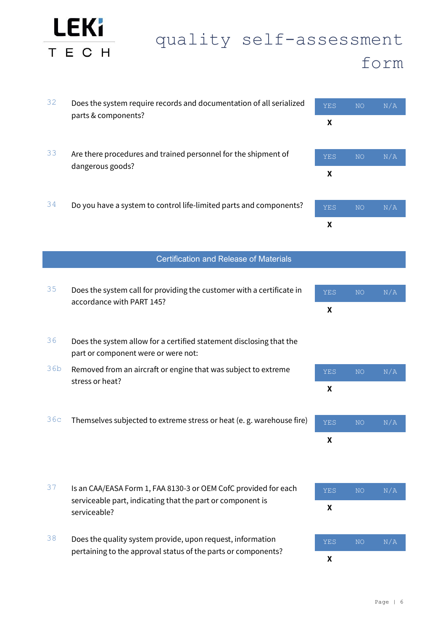

### form

YES NO N/A

|     | parts & components?                                                                                                           | X                  |                 |           |
|-----|-------------------------------------------------------------------------------------------------------------------------------|--------------------|-----------------|-----------|
| 33  | Are there procedures and trained personnel for the shipment of                                                                | <b>YES</b>         | NO <sub>1</sub> | N/A       |
|     | dangerous goods?                                                                                                              | X                  |                 |           |
| 34  | Do you have a system to control life-limited parts and components?                                                            | <b>YES</b>         | NO <sub>1</sub> | $\rm N/A$ |
|     |                                                                                                                               | X                  |                 |           |
|     | <b>Certification and Release of Materials</b>                                                                                 |                    |                 |           |
|     |                                                                                                                               |                    |                 |           |
| 35  | Does the system call for providing the customer with a certificate in<br>accordance with PART 145?                            | <b>YES</b>         | NO <sub>1</sub> | N/A       |
|     |                                                                                                                               | $\pmb{\mathsf{X}}$ |                 |           |
| 36  | Does the system allow for a certified statement disclosing that the<br>part or component were or were not:                    |                    |                 |           |
| 36b | Removed from an aircraft or engine that was subject to extreme                                                                | <b>YES</b>         | <b>NO</b>       | N/A       |
|     | stress or heat?                                                                                                               | X                  |                 |           |
| 36c | Themselves subjected to extreme stress or heat (e.g. warehouse fire)                                                          | <b>YES</b>         | NO <sub>1</sub> | N/A       |
|     |                                                                                                                               | X                  |                 |           |
|     |                                                                                                                               |                    |                 |           |
|     |                                                                                                                               |                    |                 |           |
| 37  | Is an CAA/EASA Form 1, FAA 8130-3 or OEM CofC provided for each<br>serviceable part, indicating that the part or component is | <b>YES</b>         | <b>NO</b>       | N/A       |
|     | serviceable?                                                                                                                  | X                  |                 |           |

32 Does the system require records and documentation of all serialized

38 Does the quality system provide, upon request, information pertaining to the approval status of the parts or components?

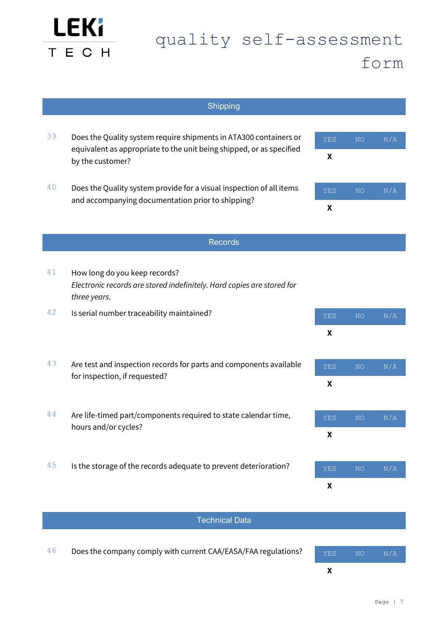

|    | Shipping                                                                                                                  |                    |                 |           |
|----|---------------------------------------------------------------------------------------------------------------------------|--------------------|-----------------|-----------|
|    |                                                                                                                           |                    |                 |           |
| 39 | Does the Quality system require shipments in ATA300 containers or                                                         |                    | NO <sub>1</sub> | N/A       |
|    | equivalent as appropriate to the unit being shipped, or as specified<br>by the customer?                                  | X                  |                 |           |
|    |                                                                                                                           |                    |                 |           |
| 40 | Does the Quality system provide for a visual inspection of all items<br>and accompanying documentation prior to shipping? | <b>YES</b>         | NO <sub>1</sub> | N/A       |
|    |                                                                                                                           | X                  |                 |           |
|    |                                                                                                                           |                    |                 |           |
|    | <b>Records</b>                                                                                                            |                    |                 |           |
|    |                                                                                                                           |                    |                 |           |
| 41 | How long do you keep records?                                                                                             |                    |                 |           |
|    | Electronic records are stored indefinitely. Hard copies are stored for<br>three years.                                    |                    |                 |           |
| 42 | Is serial number traceability maintained?                                                                                 | <b>YES</b>         | NO              | N/A       |
|    |                                                                                                                           | X                  |                 |           |
|    |                                                                                                                           |                    |                 |           |
| 43 | Are test and inspection records for parts and components available                                                        | <b>YES</b>         | NO <sub>1</sub> | N/A       |
|    | for inspection, if requested?                                                                                             | X                  |                 |           |
|    |                                                                                                                           |                    |                 |           |
| 44 | Are life-timed part/components required to state calendar time,                                                           | <b>YES</b>         | NO              | N/A       |
|    | hours and/or cycles?                                                                                                      | X                  |                 |           |
|    |                                                                                                                           |                    |                 |           |
| 45 | Is the storage of the records adequate to prevent deterioration?                                                          |                    |                 |           |
|    |                                                                                                                           | <b>YES</b>         | NO <sub>1</sub> | N/A       |
|    |                                                                                                                           | $\pmb{\mathsf{X}}$ |                 |           |
|    |                                                                                                                           |                    |                 |           |
|    | <b>Technical Data</b>                                                                                                     |                    |                 |           |
|    |                                                                                                                           |                    |                 |           |
| 46 | Does the company comply with current CAA/EASA/FAA regulations?                                                            | <b>YES</b>         | NO <sub>1</sub> | $\rm N/A$ |

**X**